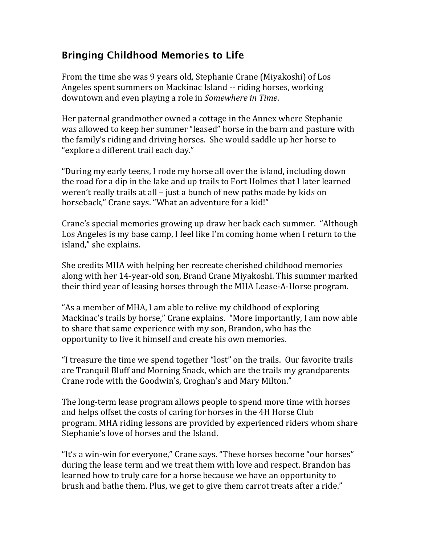## **Bringing Childhood Memories to Life**

From the time she was 9 years old, Stephanie Crane (Miyakoshi) of Los Angeles spent summers on Mackinac Island -- riding horses, working downtown and even playing a role in *Somewhere in Time*.

Her paternal grandmother owned a cottage in the Annex where Stephanie was allowed to keep her summer "leased" horse in the barn and pasture with the family's riding and driving horses. She would saddle up her horse to " explore a different trail each day."

"During my early teens, I rode my horse all over the island, including down the road for a dip in the lake and up trails to Fort Holmes that I later learned weren't really trails at all  $-$  just a bunch of new paths made by kids on horseback," Crane says. "What an adventure for a kid!"

Crane's special memories growing up draw her back each summer. "Although Los Angeles is my base camp, I feel like I'm coming home when I return to the island," she explains.

She credits MHA with helping her recreate cherished childhood memories along with her 14-year-old son, Brand Crane Miyakoshi. This summer marked their third year of leasing horses through the MHA Lease-A-Horse program.

"As a member of MHA, I am able to relive my childhood of exploring Mackinac's trails by horse," Crane explains. "More importantly, I am now able to share that same experience with my son, Brandon, who has the opportunity to live it himself and create his own memories.

"I treasure the time we spend together "lost" on the trails. Our favorite trails are Tranquil Bluff and Morning Snack, which are the trails my grandparents Crane rode with the Goodwin's, Croghan's and Mary Milton."

The long-term lease program allows people to spend more time with horses and helps offset the costs of caring for horses in the 4H Horse Club program. MHA riding lessons are provided by experienced riders whom share Stephanie's love of horses and the Island.

"It's a win-win for everyone," Crane says. "These horses become "our horses" during the lease term and we treat them with love and respect. Brandon has learned how to truly care for a horse because we have an opportunity to brush and bathe them. Plus, we get to give them carrot treats after a ride."